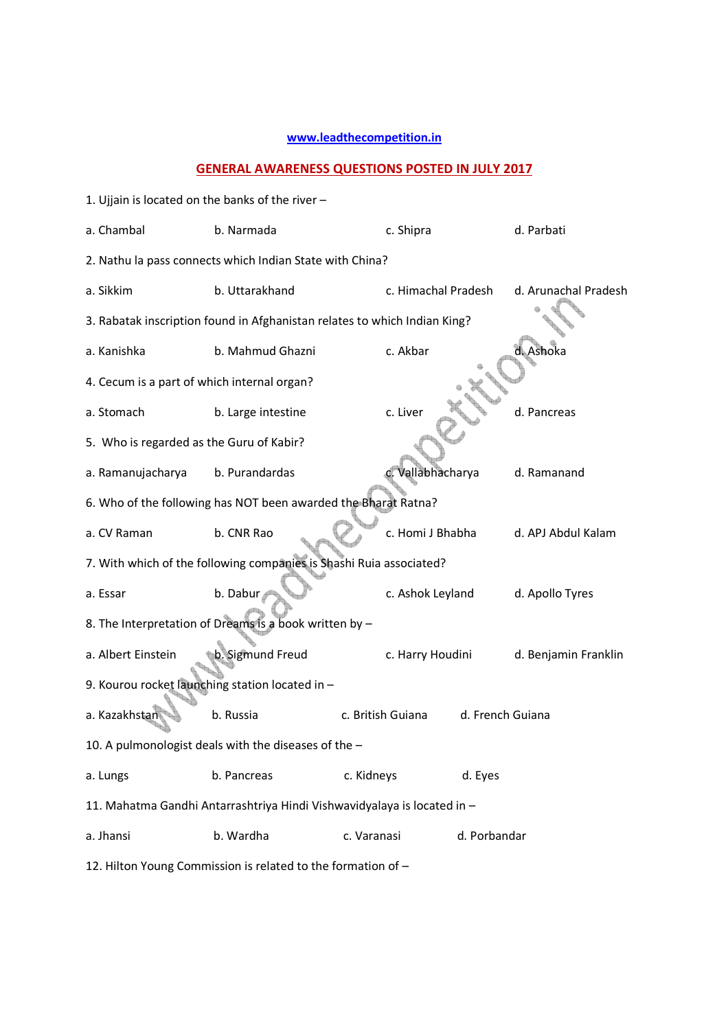## **www.leadthecompetition.in**

## **GENERAL AWARENESS QUESTIONS POSTED IN JULY 2017**

| 1. Ujjain is located on the banks of the river -               |                                                                           |                     |                  |                      |  |  |
|----------------------------------------------------------------|---------------------------------------------------------------------------|---------------------|------------------|----------------------|--|--|
| a. Chambal                                                     | b. Narmada<br>c. Shipra<br>d. Parbati                                     |                     |                  |                      |  |  |
|                                                                | 2. Nathu la pass connects which Indian State with China?                  |                     |                  |                      |  |  |
| a. Sikkim                                                      | b. Uttarakhand                                                            | c. Himachal Pradesh |                  | d. Arunachal Pradesh |  |  |
|                                                                | 3. Rabatak inscription found in Afghanistan relates to which Indian King? |                     |                  |                      |  |  |
| a. Kanishka                                                    | b. Mahmud Ghazni                                                          | c. Akbar            |                  | d. Ashoka            |  |  |
| 4. Cecum is a part of which internal organ?                    |                                                                           |                     |                  |                      |  |  |
| a. Stomach                                                     | b. Large intestine                                                        | c. Liver            |                  | d. Pancreas          |  |  |
| 5. Who is regarded as the Guru of Kabir?                       |                                                                           |                     |                  |                      |  |  |
| a. Ramanujacharya                                              | b. Purandardas                                                            | Vallabhacharya      |                  | d. Ramanand          |  |  |
| 6. Who of the following has NOT been awarded the Bharat Ratna? |                                                                           |                     |                  |                      |  |  |
| a. CV Raman                                                    | b. CNR Rao                                                                | c. Homi J Bhabha    |                  | d. APJ Abdul Kalam   |  |  |
|                                                                | 7. With which of the following companies is Shashi Ruia associated?       |                     |                  |                      |  |  |
| a. Essar                                                       | b. Dabur                                                                  | c. Ashok Leyland    |                  | d. Apollo Tyres      |  |  |
|                                                                | 8. The Interpretation of Dreams is a book written by -                    |                     |                  |                      |  |  |
| a. Albert Einstein                                             | b. Sigmund Freud                                                          | c. Harry Houdini    |                  | d. Benjamin Franklin |  |  |
|                                                                | 9. Kourou rocket launching station located in -                           |                     |                  |                      |  |  |
| a. Kazakhstan                                                  | b. Russia                                                                 | c. British Guiana   | d. French Guiana |                      |  |  |
|                                                                | 10. A pulmonologist deals with the diseases of the -                      |                     |                  |                      |  |  |
| a. Lungs                                                       | b. Pancreas                                                               | c. Kidneys          | d. Eyes          |                      |  |  |
|                                                                | 11. Mahatma Gandhi Antarrashtriya Hindi Vishwavidyalaya is located in -   |                     |                  |                      |  |  |
| a. Jhansi                                                      | b. Wardha                                                                 | c. Varanasi         | d. Porbandar     |                      |  |  |
| 12. Hilton Young Commission is related to the formation of -   |                                                                           |                     |                  |                      |  |  |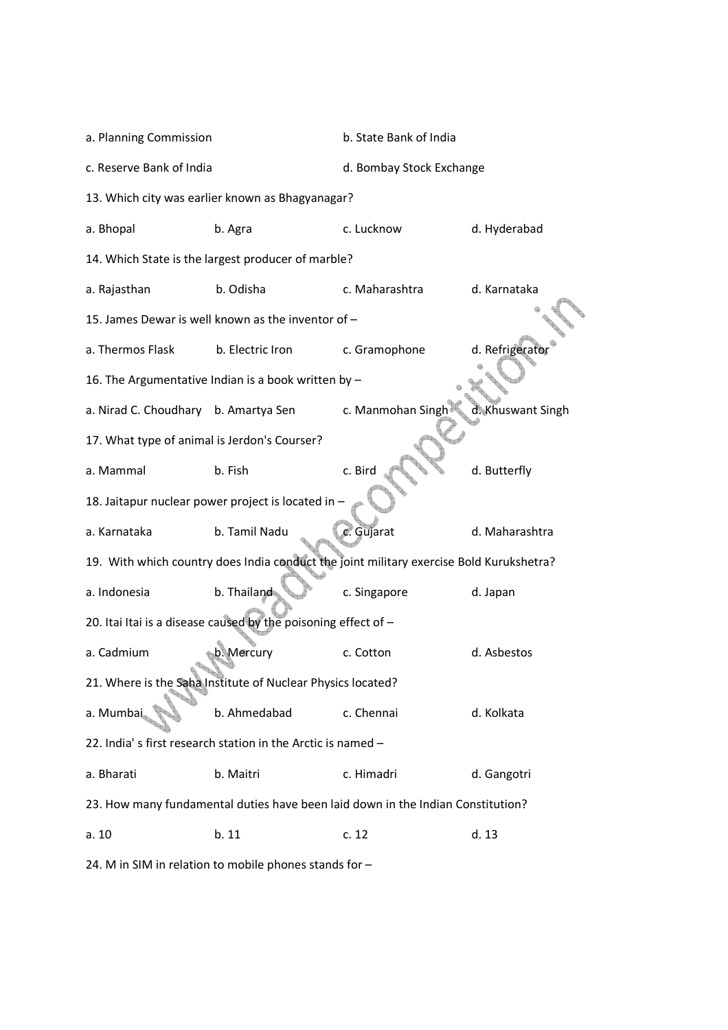| a. Planning Commission                       |                                                                                         | b. State Bank of India              |                 |  |
|----------------------------------------------|-----------------------------------------------------------------------------------------|-------------------------------------|-----------------|--|
| c. Reserve Bank of India                     |                                                                                         | d. Bombay Stock Exchange            |                 |  |
|                                              | 13. Which city was earlier known as Bhagyanagar?                                        |                                     |                 |  |
| a. Bhopal                                    | b. Agra                                                                                 | c. Lucknow                          | d. Hyderabad    |  |
|                                              | 14. Which State is the largest producer of marble?                                      |                                     |                 |  |
| a. Rajasthan                                 | b. Odisha                                                                               | c. Maharashtra                      | d. Karnataka    |  |
|                                              | 15. James Dewar is well known as the inventor of -                                      |                                     |                 |  |
| a. Thermos Flask                             | b. Electric Iron                                                                        | c. Gramophone                       | d. Refrigerator |  |
|                                              | 16. The Argumentative Indian is a book written by -                                     |                                     |                 |  |
| a. Nirad C. Choudhary b. Amartya Sen         |                                                                                         | c. Manmohan Singh d. Khuswant Singh |                 |  |
| 17. What type of animal is Jerdon's Courser? |                                                                                         |                                     |                 |  |
| a. Mammal                                    | b. Fish                                                                                 | c. Bird                             | d. Butterfly    |  |
|                                              | 18. Jaitapur nuclear power project is located in -                                      |                                     |                 |  |
| a. Karnataka                                 | b. Tamil Nadu                                                                           | c. Gujarat                          | d. Maharashtra  |  |
|                                              | 19. With which country does India conduct the joint military exercise Bold Kurukshetra? |                                     |                 |  |
| a. Indonesia                                 | b. Thailand                                                                             | c. Singapore                        | d. Japan        |  |
|                                              | 20. Itai Itai is a disease caused by the poisoning effect of $-$                        |                                     |                 |  |
| a. Cadmium                                   | b. Mercury                                                                              | c. Cotton                           | d. Asbestos     |  |
|                                              | 21. Where is the Saha Institute of Nuclear Physics located?                             |                                     |                 |  |
| a. Mumbai                                    | b. Ahmedabad                                                                            | c. Chennai                          | d. Kolkata      |  |
|                                              | 22. India's first research station in the Arctic is named -                             |                                     |                 |  |
| a. Bharati                                   | b. Maitri                                                                               | c. Himadri                          | d. Gangotri     |  |
|                                              | 23. How many fundamental duties have been laid down in the Indian Constitution?         |                                     |                 |  |
| a. 10                                        | b. 11                                                                                   | c. 12                               | d.13            |  |
|                                              |                                                                                         |                                     |                 |  |

24. M in SIM in relation to mobile phones stands for –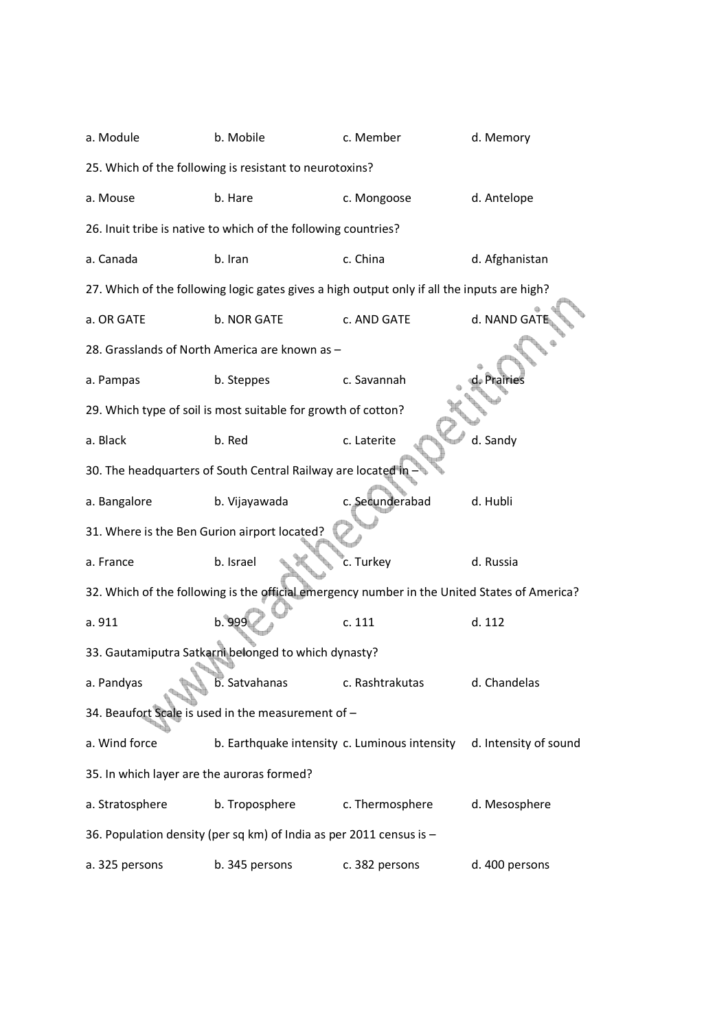| a. Module                                    | b. Mobile                                                                                    | c. Member       | d. Memory             |
|----------------------------------------------|----------------------------------------------------------------------------------------------|-----------------|-----------------------|
|                                              | 25. Which of the following is resistant to neurotoxins?                                      |                 |                       |
| a. Mouse                                     | b. Hare                                                                                      | c. Mongoose     | d. Antelope           |
|                                              | 26. Inuit tribe is native to which of the following countries?                               |                 |                       |
| a. Canada                                    | b. Iran                                                                                      | c. China        | d. Afghanistan        |
|                                              | 27. Which of the following logic gates gives a high output only if all the inputs are high?  |                 |                       |
| a. OR GATE                                   | b. NOR GATE                                                                                  | c. AND GATE     | d. NAND GAT           |
|                                              | 28. Grasslands of North America are known as -                                               |                 |                       |
| a. Pampas                                    | b. Steppes                                                                                   | c. Savannah     | d. Prairies           |
|                                              | 29. Which type of soil is most suitable for growth of cotton?                                |                 |                       |
| a. Black                                     | b. Red                                                                                       | c. Laterite     | d. Sandy              |
|                                              | 30. The headquarters of South Central Railway are located in                                 |                 |                       |
| a. Bangalore                                 | b. Vijayawada                                                                                | c. Secunderabad | d. Hubli              |
| 31. Where is the Ben Gurion airport located? |                                                                                              |                 |                       |
| a. France                                    | b. Israel                                                                                    | c. Turkey       | d. Russia             |
|                                              | 32. Which of the following is the official emergency number in the United States of America? |                 |                       |
| a. 911                                       | b. 999                                                                                       | c. 111          | d. 112                |
|                                              | 33. Gautamiputra Satkarni belonged to which dynasty?                                         |                 |                       |
| a. Pandyas                                   | b. Satvahanas                                                                                | c. Rashtrakutas | d. Chandelas          |
|                                              | 34. Beaufort Scale is used in the measurement of -                                           |                 |                       |
| a. Wind force                                | b. Earthquake intensity c. Luminous intensity                                                |                 | d. Intensity of sound |
| 35. In which layer are the auroras formed?   |                                                                                              |                 |                       |
| a. Stratosphere                              | b. Troposphere                                                                               | c. Thermosphere | d. Mesosphere         |
|                                              | 36. Population density (per sq km) of India as per 2011 census is -                          |                 |                       |
| a. 325 persons                               | b. 345 persons                                                                               | c. 382 persons  | d. 400 persons        |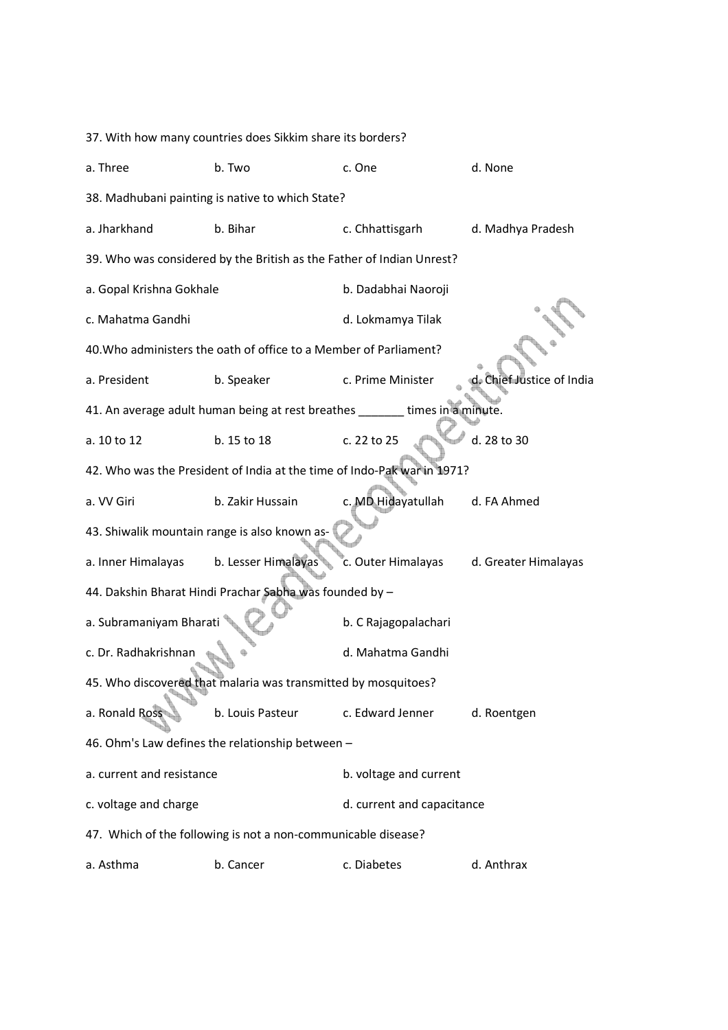| 37. With how many countries does Sikkim share its borders? |                                                                             |                            |                           |  |  |
|------------------------------------------------------------|-----------------------------------------------------------------------------|----------------------------|---------------------------|--|--|
| a. Three                                                   | b. Two                                                                      | c. One                     | d. None                   |  |  |
|                                                            | 38. Madhubani painting is native to which State?                            |                            |                           |  |  |
| a. Jharkhand                                               | b. Bihar                                                                    | c. Chhattisgarh            | d. Madhya Pradesh         |  |  |
|                                                            | 39. Who was considered by the British as the Father of Indian Unrest?       |                            |                           |  |  |
| a. Gopal Krishna Gokhale                                   |                                                                             | b. Dadabhai Naoroji        |                           |  |  |
| c. Mahatma Gandhi                                          |                                                                             | d. Lokmamya Tilak          |                           |  |  |
|                                                            | 40. Who administers the oath of office to a Member of Parliament?           |                            |                           |  |  |
| a. President                                               | b. Speaker                                                                  | c. Prime Minister          | d. Chief Justice of India |  |  |
|                                                            | 41. An average adult human being at rest breathes ______ times in a minute. |                            |                           |  |  |
| a. 10 to 12                                                | b. 15 to 18                                                                 | c. 22 to 25                | d. 28 to 30               |  |  |
|                                                            | 42. Who was the President of India at the time of Indo-Pak war in 1971?     |                            |                           |  |  |
| a. VV Giri                                                 | b. Zakir Hussain                                                            | c. MD Hidayatullah         | d. FA Ahmed               |  |  |
| 43. Shiwalik mountain range is also known as-              |                                                                             |                            |                           |  |  |
| a. Inner Himalayas                                         | b. Lesser Himalayas                                                         | c. Outer Himalayas         | d. Greater Himalayas      |  |  |
|                                                            | 44. Dakshin Bharat Hindi Prachar Sabha was founded by -                     |                            |                           |  |  |
| a. Subramaniyam Bharati                                    |                                                                             | b. C Rajagopalachari       |                           |  |  |
| c. Dr. Radhakrishnan                                       |                                                                             | d. Mahatma Gandhi          |                           |  |  |
|                                                            | 45. Who discovered that malaria was transmitted by mosquitoes?              |                            |                           |  |  |
| a. Ronald Ross                                             | b. Louis Pasteur                                                            | c. Edward Jenner           | d. Roentgen               |  |  |
|                                                            | 46. Ohm's Law defines the relationship between -                            |                            |                           |  |  |
| a. current and resistance                                  |                                                                             | b. voltage and current     |                           |  |  |
| c. voltage and charge                                      |                                                                             | d. current and capacitance |                           |  |  |
|                                                            | 47. Which of the following is not a non-communicable disease?               |                            |                           |  |  |
| a. Asthma                                                  | b. Cancer                                                                   | c. Diabetes                | d. Anthrax                |  |  |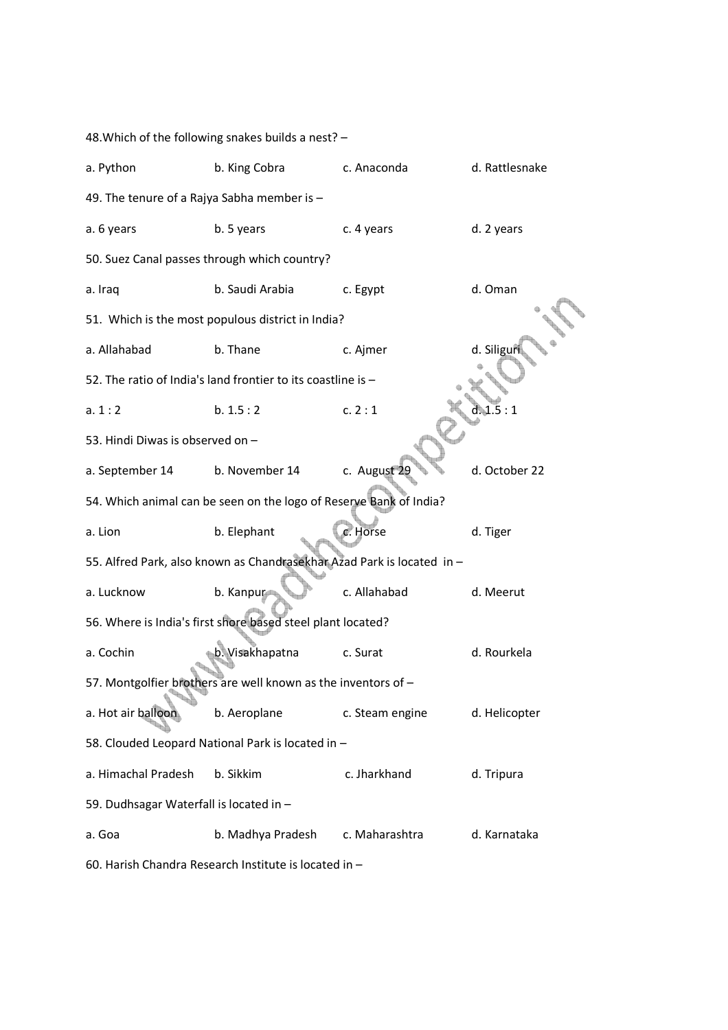48.Which of the following snakes builds a nest? – a. Python b. King Cobra c. Anaconda d. Rattlesnake 49. The tenure of a Rajya Sabha member is – a. 6 years b. 5 years c. 4 years d. 2 years 50. Suez Canal passes through which country? a. Iraq b. Saudi Arabia c. Egypt d. Oman 51. Which is the most populous district in India? a. Allahabad b. Thane c. Aimer d. Siliguri 52. The ratio of India's land frontier to its coastline is – a.  $1 : 2$  b.  $1.5 : 2$  c.  $2 : 1$  d.  $1.5 : 1$ 53. Hindi Diwas is observed on – a. September 14 b. November 14 c. August 29 d. October 22 54. Which animal can be seen on the logo of Reserve Bank of India? a. Lion b. Elephant c. Horse d. Tiger 55. Alfred Park, also known as Chandrasekhar Azad Park is located in – a. Lucknow b. Kanpur c. Allahabad d. Meerut 56. Where is India's first shore based steel plant located? a. Cochin b. Visakhapatna c. Surat d. Rourkela 57. Montgolfier brothers are well known as the inventors of – a. Hot air balloon b. Aeroplane c. Steam engine d. Helicopter 58. Clouded Leopard National Park is located in – a. Himachal Pradesh b. Sikkim c. Jharkhand d. Tripura 59. Dudhsagar Waterfall is located in – a. Goa b. Madhya Pradesh c. Maharashtra d. Karnataka

60. Harish Chandra Research Institute is located in –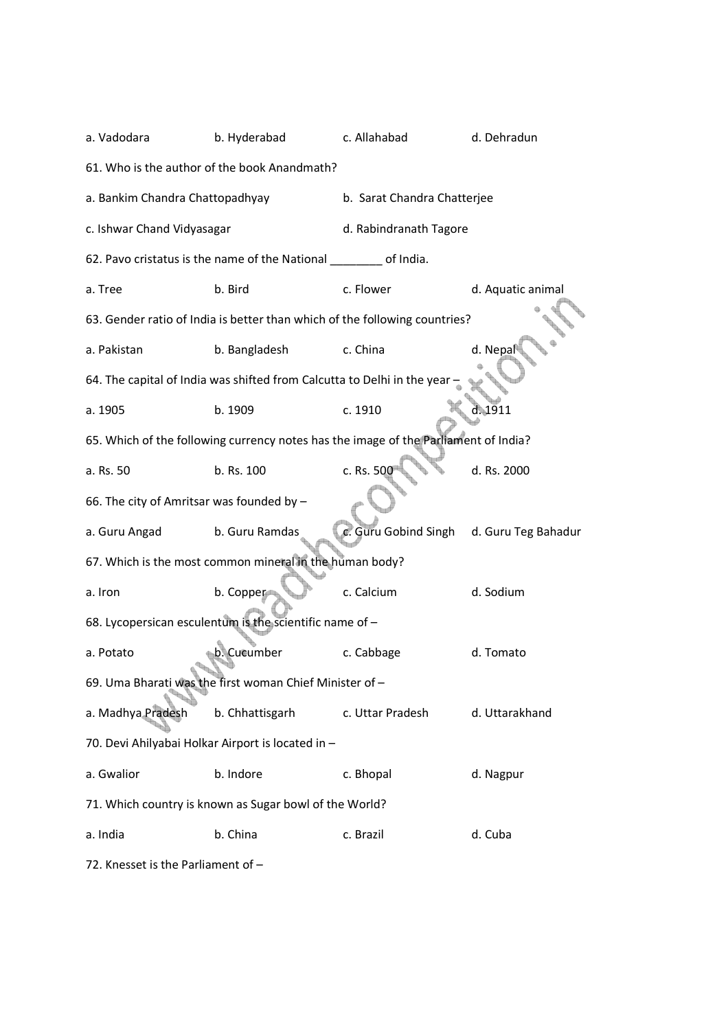| a. Vadodara                               | b. Hyderabad                                                                        | c. Allahabad                | d. Dehradun         |  |  |  |
|-------------------------------------------|-------------------------------------------------------------------------------------|-----------------------------|---------------------|--|--|--|
|                                           | 61. Who is the author of the book Anandmath?                                        |                             |                     |  |  |  |
| a. Bankim Chandra Chattopadhyay           |                                                                                     | b. Sarat Chandra Chatterjee |                     |  |  |  |
| c. Ishwar Chand Vidyasagar                |                                                                                     | d. Rabindranath Tagore      |                     |  |  |  |
|                                           | 62. Pavo cristatus is the name of the National ________ of India.                   |                             |                     |  |  |  |
| a. Tree                                   | b. Bird                                                                             | c. Flower                   | d. Aquatic animal   |  |  |  |
|                                           | 63. Gender ratio of India is better than which of the following countries?          |                             |                     |  |  |  |
| a. Pakistan                               | b. Bangladesh                                                                       | c. China                    | d. Nepal            |  |  |  |
|                                           | 64. The capital of India was shifted from Calcutta to Delhi in the year             |                             |                     |  |  |  |
| a. 1905                                   | b. 1909                                                                             | c. 1910                     | d.1911              |  |  |  |
|                                           | 65. Which of the following currency notes has the image of the Parliament of India? |                             |                     |  |  |  |
| a. Rs. 50                                 | b. Rs. 100                                                                          | c. Rs. 500                  | d. Rs. 2000         |  |  |  |
| 66. The city of Amritsar was founded by - |                                                                                     |                             |                     |  |  |  |
| a. Guru Angad                             | b. Guru Ramdas                                                                      | c. Guru Gobind Singh        | d. Guru Teg Bahadur |  |  |  |
|                                           | 67. Which is the most common mineral in the human body?                             |                             |                     |  |  |  |
| a. Iron                                   | b. Copper                                                                           | c. Calcium                  | d. Sodium           |  |  |  |
|                                           | 68. Lycopersican esculentum is the scientific name of -                             |                             |                     |  |  |  |
| a. Potato                                 | b. Cucumber                                                                         | c. Cabbage                  | d. Tomato           |  |  |  |
|                                           | 69. Uma Bharati was the first woman Chief Minister of -                             |                             |                     |  |  |  |
| a. Madhya Pradesh                         | b. Chhattisgarh                                                                     | c. Uttar Pradesh            | d. Uttarakhand      |  |  |  |
|                                           | 70. Devi Ahilyabai Holkar Airport is located in -                                   |                             |                     |  |  |  |
| a. Gwalior                                | b. Indore                                                                           | c. Bhopal                   | d. Nagpur           |  |  |  |
|                                           | 71. Which country is known as Sugar bowl of the World?                              |                             |                     |  |  |  |
| a. India                                  | b. China                                                                            | c. Brazil                   | d. Cuba             |  |  |  |

72. Knesset is the Parliament of –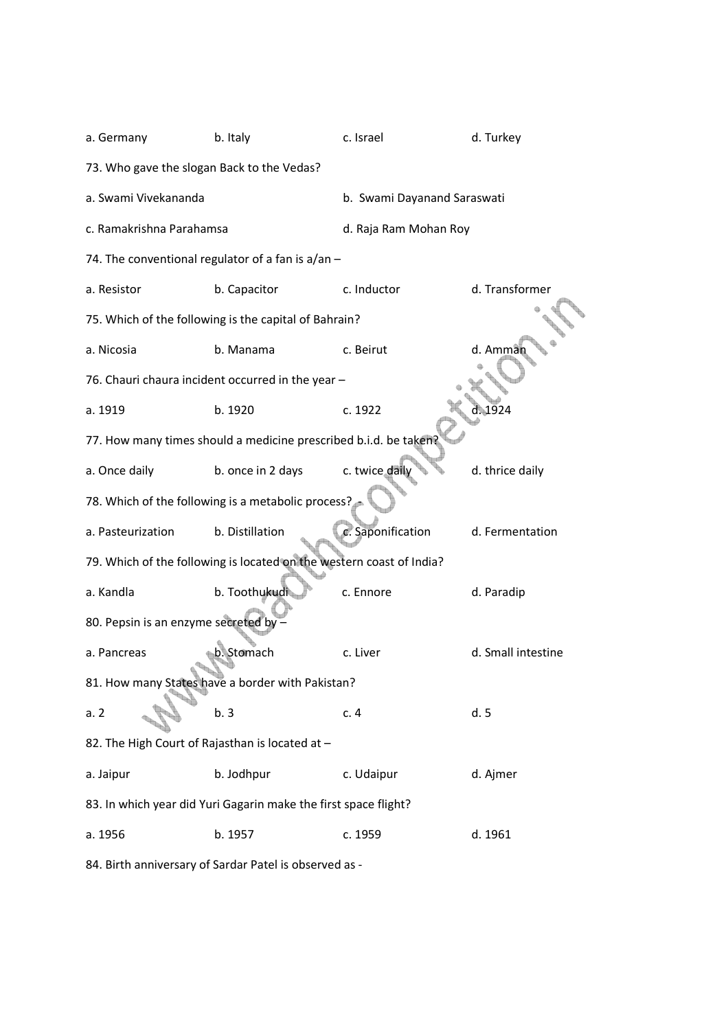| a. Germany                                      | b. Italy                                                             | c. Israel                   | d. Turkey          |
|-------------------------------------------------|----------------------------------------------------------------------|-----------------------------|--------------------|
| 73. Who gave the slogan Back to the Vedas?      |                                                                      |                             |                    |
| a. Swami Vivekananda                            |                                                                      | b. Swami Dayanand Saraswati |                    |
| c. Ramakrishna Parahamsa                        |                                                                      | d. Raja Ram Mohan Roy       |                    |
|                                                 | 74. The conventional regulator of a fan is a/an -                    |                             |                    |
| a. Resistor                                     | b. Capacitor                                                         | c. Inductor                 | d. Transformer     |
|                                                 | 75. Which of the following is the capital of Bahrain?                |                             |                    |
| a. Nicosia                                      | b. Manama                                                            | c. Beirut                   | d. Amman           |
|                                                 | 76. Chauri chaura incident occurred in the year -                    |                             |                    |
| a. 1919                                         | b. 1920                                                              | c. 1922                     |                    |
|                                                 | 77. How many times should a medicine prescribed b.i.d. be taken?     |                             |                    |
| a. Once daily                                   | b. once in 2 days                                                    | c. twice daily              | d. thrice daily    |
|                                                 | 78. Which of the following is a metabolic process?                   |                             |                    |
| a. Pasteurization                               | b. Distillation                                                      | c. Saponification           | d. Fermentation    |
|                                                 | 79. Which of the following is located on the western coast of India? |                             |                    |
| a. Kandla                                       | b. Toothukudi                                                        | c. Ennore                   | d. Paradip         |
| 80. Pepsin is an enzyme secreted by -           |                                                                      |                             |                    |
| a. Pancreas                                     | b. Stomach                                                           | c. Liver                    | d. Small intestine |
|                                                 | 81. How many States have a border with Pakistan?                     |                             |                    |
| a.2                                             | b.3                                                                  | c.4                         | d.5                |
| 82. The High Court of Rajasthan is located at - |                                                                      |                             |                    |
| a. Jaipur                                       | b. Jodhpur                                                           | c. Udaipur                  | d. Ajmer           |
|                                                 | 83. In which year did Yuri Gagarin make the first space flight?      |                             |                    |
| a. 1956                                         | b. 1957                                                              | c. 1959                     | d. 1961            |

84. Birth anniversary of Sardar Patel is observed as -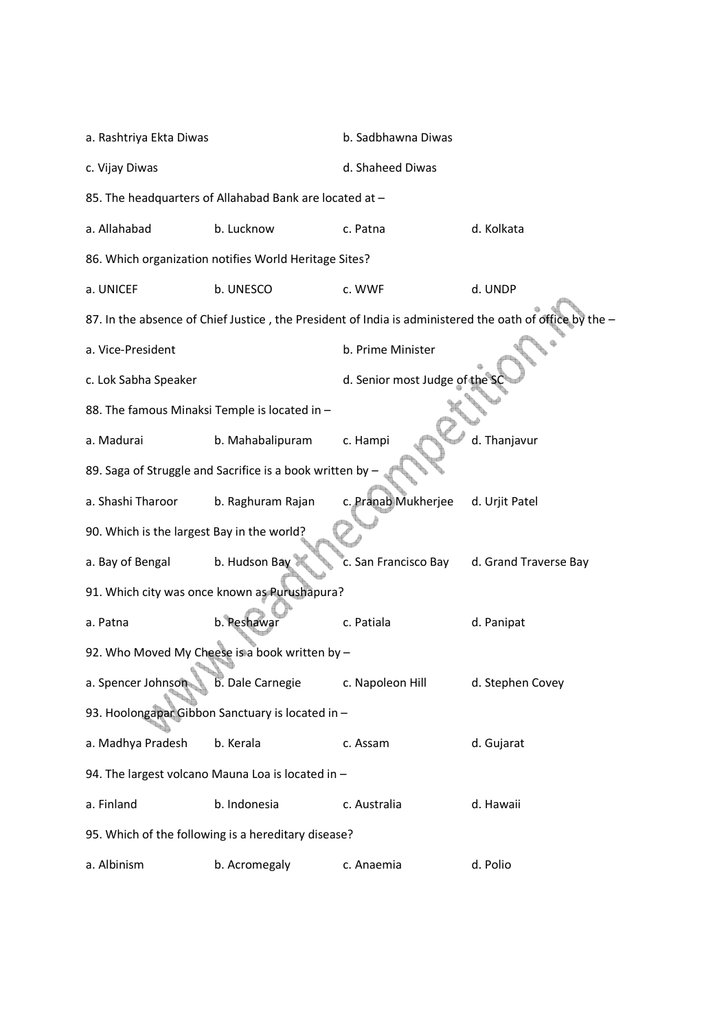| a. Rashtriya Ekta Diwas                       |                                                           | b. Sadbhawna Diwas            |                                                                                                         |  |
|-----------------------------------------------|-----------------------------------------------------------|-------------------------------|---------------------------------------------------------------------------------------------------------|--|
| c. Vijay Diwas                                |                                                           | d. Shaheed Diwas              |                                                                                                         |  |
|                                               | 85. The headquarters of Allahabad Bank are located at -   |                               |                                                                                                         |  |
| a. Allahabad                                  | b. Lucknow                                                | c. Patna                      | d. Kolkata                                                                                              |  |
|                                               | 86. Which organization notifies World Heritage Sites?     |                               |                                                                                                         |  |
| a. UNICEF                                     | b. UNESCO                                                 | c. WWF                        | d. UNDP                                                                                                 |  |
|                                               |                                                           |                               | 87. In the absence of Chief Justice, the President of India is administered the oath of office by the - |  |
| a. Vice-President                             |                                                           | b. Prime Minister             |                                                                                                         |  |
| c. Lok Sabha Speaker                          |                                                           | d. Senior most Judge of the S |                                                                                                         |  |
| 88. The famous Minaksi Temple is located in - |                                                           |                               |                                                                                                         |  |
| a. Madurai                                    | b. Mahabalipuram                                          | c. Hampi                      | d. Thanjavur                                                                                            |  |
|                                               | 89. Saga of Struggle and Sacrifice is a book written by - |                               |                                                                                                         |  |
| a. Shashi Tharoor                             | b. Raghuram Rajan                                         | c. Pranab Mukherjee           | d. Urjit Patel                                                                                          |  |
| 90. Which is the largest Bay in the world?    |                                                           |                               |                                                                                                         |  |
| a. Bay of Bengal                              | b. Hudson Bay                                             | c. San Francisco Bay          | d. Grand Traverse Bay                                                                                   |  |
|                                               | 91. Which city was once known as Purushapura?             |                               |                                                                                                         |  |
| a. Patna                                      | b. Peshawar                                               | c. Patiala                    | d. Panipat                                                                                              |  |
|                                               | 92. Who Moved My Cheese is a book written by -            |                               |                                                                                                         |  |
| a. Spencer Johnson                            | b. Dale Carnegie                                          | c. Napoleon Hill              | d. Stephen Covey                                                                                        |  |
|                                               | 93. Hoolongapar Gibbon Sanctuary is located in -          |                               |                                                                                                         |  |
| a. Madhya Pradesh                             | b. Kerala                                                 | c. Assam                      | d. Gujarat                                                                                              |  |
|                                               | 94. The largest volcano Mauna Loa is located in -         |                               |                                                                                                         |  |
| a. Finland                                    | b. Indonesia                                              | c. Australia                  | d. Hawaii                                                                                               |  |
|                                               | 95. Which of the following is a hereditary disease?       |                               |                                                                                                         |  |
| a. Albinism                                   | b. Acromegaly                                             | c. Anaemia                    | d. Polio                                                                                                |  |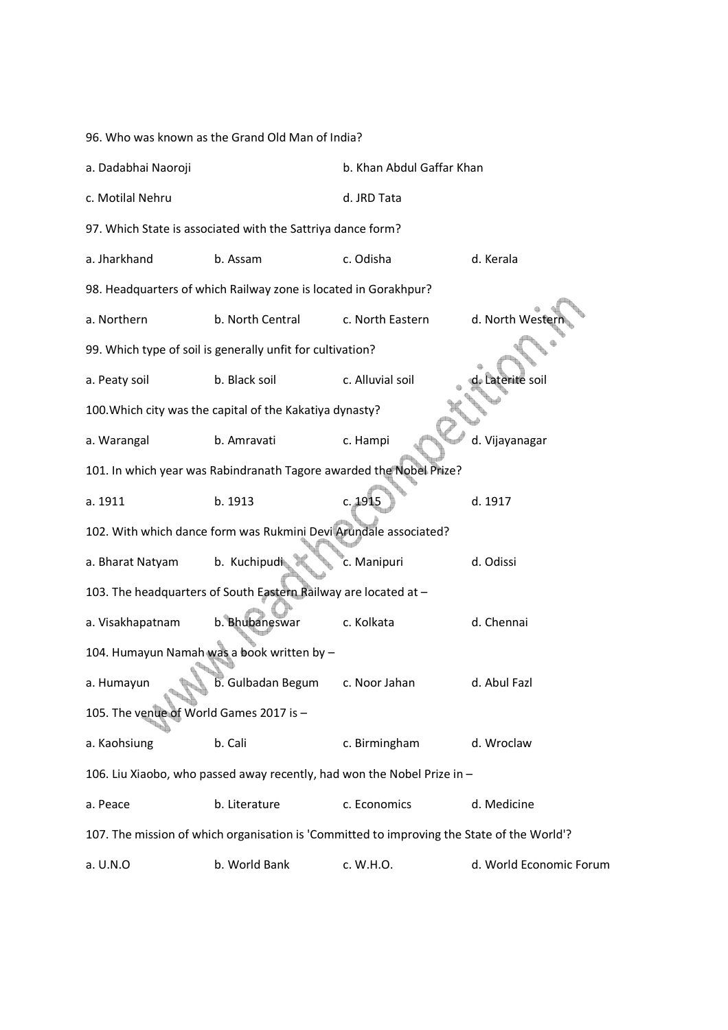96. Who was known as the Grand Old Man of India?

| a. Dadabhai Naoroji                     |                                                                                            | b. Khan Abdul Gaffar Khan |                         |
|-----------------------------------------|--------------------------------------------------------------------------------------------|---------------------------|-------------------------|
| c. Motilal Nehru                        |                                                                                            | d. JRD Tata               |                         |
|                                         | 97. Which State is associated with the Sattriya dance form?                                |                           |                         |
| a. Jharkhand                            | b. Assam                                                                                   | c. Odisha                 | d. Kerala               |
|                                         | 98. Headquarters of which Railway zone is located in Gorakhpur?                            |                           |                         |
| a. Northern                             | b. North Central                                                                           | c. North Eastern          | d. North Wester         |
|                                         | 99. Which type of soil is generally unfit for cultivation?                                 |                           |                         |
| a. Peaty soil                           | b. Black soil                                                                              | c. Alluvial soil          | Laterite soil           |
|                                         | 100. Which city was the capital of the Kakatiya dynasty?                                   |                           |                         |
| a. Warangal                             | b. Amravati                                                                                | c. Hampi                  | d. Vijayanagar          |
|                                         | 101. In which year was Rabindranath Tagore awarded the Nobel Prize?                        |                           |                         |
| a. 1911                                 | b. 1913                                                                                    | c. 1915                   | d. 1917                 |
|                                         | 102. With which dance form was Rukmini Devi Arundale associated?                           |                           |                         |
| a. Bharat Natyam                        | b. Kuchipudi                                                                               | c. Manipuri               | d. Odissi               |
|                                         | 103. The headquarters of South Eastern Railway are located at -                            |                           |                         |
| a. Visakhapatnam                        | b. Bhubaneswar                                                                             | c. Kolkata                | d. Chennai              |
|                                         | 104. Humayun Namah was a book written by -                                                 |                           |                         |
| a. Humayun                              | b. Gulbadan Begum                                                                          | c. Noor Jahan             | d. Abul Fazl            |
| 105. The venue of World Games 2017 is - |                                                                                            |                           |                         |
| a. Kaohsiung                            | b. Cali                                                                                    | c. Birmingham             | d. Wroclaw              |
|                                         | 106. Liu Xiaobo, who passed away recently, had won the Nobel Prize in -                    |                           |                         |
| a. Peace                                | b. Literature                                                                              | c. Economics              | d. Medicine             |
|                                         | 107. The mission of which organisation is 'Committed to improving the State of the World'? |                           |                         |
| a. U.N.O                                | b. World Bank                                                                              | c. W.H.O.                 | d. World Economic Forum |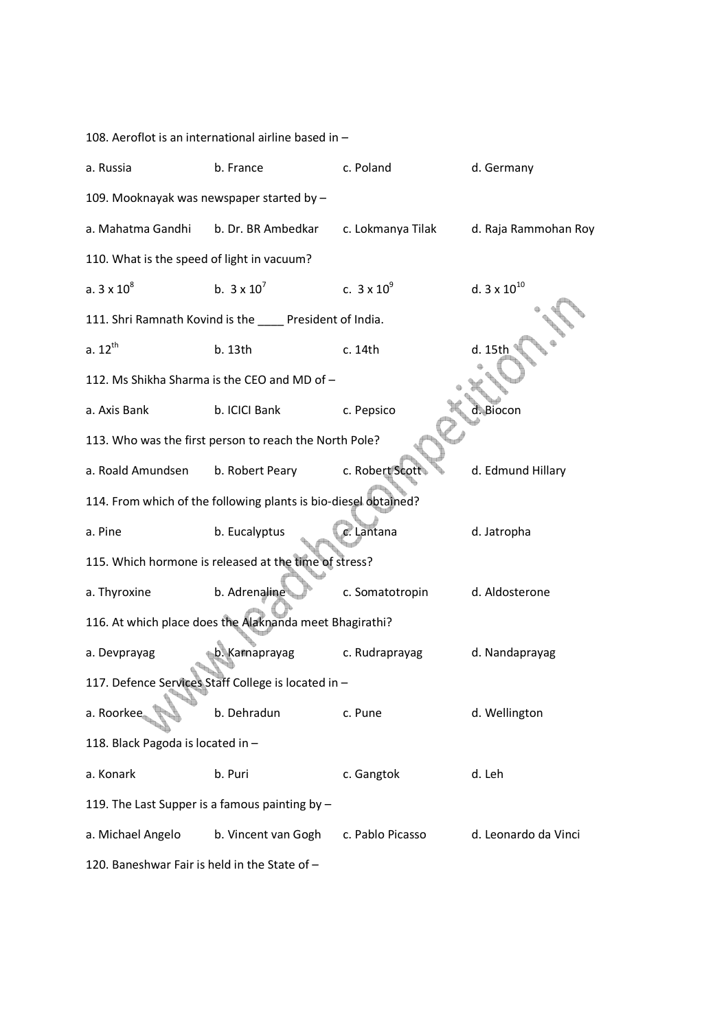| 108. Aeroflot is an international airline based in - |                                                                 |                    |                       |  |  |  |
|------------------------------------------------------|-----------------------------------------------------------------|--------------------|-----------------------|--|--|--|
| a. Russia                                            | b. France                                                       | c. Poland          | d. Germany            |  |  |  |
| 109. Mooknayak was newspaper started by -            |                                                                 |                    |                       |  |  |  |
| a. Mahatma Gandhi                                    | b. Dr. BR Ambedkar                                              | c. Lokmanya Tilak  | d. Raja Rammohan Roy  |  |  |  |
| 110. What is the speed of light in vacuum?           |                                                                 |                    |                       |  |  |  |
| a. $3 \times 10^8$                                   | b. $3 \times 10^7$                                              | c. $3 \times 10^9$ | d. $3 \times 10^{10}$ |  |  |  |
|                                                      | 111. Shri Ramnath Kovind is the _____ President of India.       |                    |                       |  |  |  |
| $a. 12^{th}$                                         | b. 13th                                                         | c. 14th            | d. 15th               |  |  |  |
|                                                      | 112. Ms Shikha Sharma is the CEO and MD of -                    |                    |                       |  |  |  |
| a. Axis Bank                                         | b. ICICI Bank                                                   | c. Pepsico         | d. Biocon             |  |  |  |
|                                                      | 113. Who was the first person to reach the North Pole?          |                    |                       |  |  |  |
| a. Roald Amundsen                                    | b. Robert Peary                                                 | c. Robert Scott    | d. Edmund Hillary     |  |  |  |
|                                                      | 114. From which of the following plants is bio-diesel obtained? |                    |                       |  |  |  |
| a. Pine                                              | b. Eucalyptus                                                   | c. Lantana         | d. Jatropha           |  |  |  |
|                                                      | 115. Which hormone is released at the time of stress?           |                    |                       |  |  |  |
| a. Thyroxine                                         | b. Adrenaline                                                   | c. Somatotropin    | d. Aldosterone        |  |  |  |
|                                                      | 116. At which place does the Alaknanda meet Bhagirathi?         |                    |                       |  |  |  |
| a. Devprayag                                         | b. Karnaprayag                                                  | c. Rudraprayag     | d. Nandaprayag        |  |  |  |
|                                                      | 117. Defence Services Staff College is located in -             |                    |                       |  |  |  |
| a. Roorkee                                           | b. Dehradun                                                     | c. Pune            | d. Wellington         |  |  |  |
| 118. Black Pagoda is located in -                    |                                                                 |                    |                       |  |  |  |
| a. Konark                                            | b. Puri                                                         | c. Gangtok         | d. Leh                |  |  |  |
|                                                      | 119. The Last Supper is a famous painting by -                  |                    |                       |  |  |  |
| a. Michael Angelo                                    | b. Vincent van Gogh                                             | c. Pablo Picasso   | d. Leonardo da Vinci  |  |  |  |
| 120. Baneshwar Fair is held in the State of -        |                                                                 |                    |                       |  |  |  |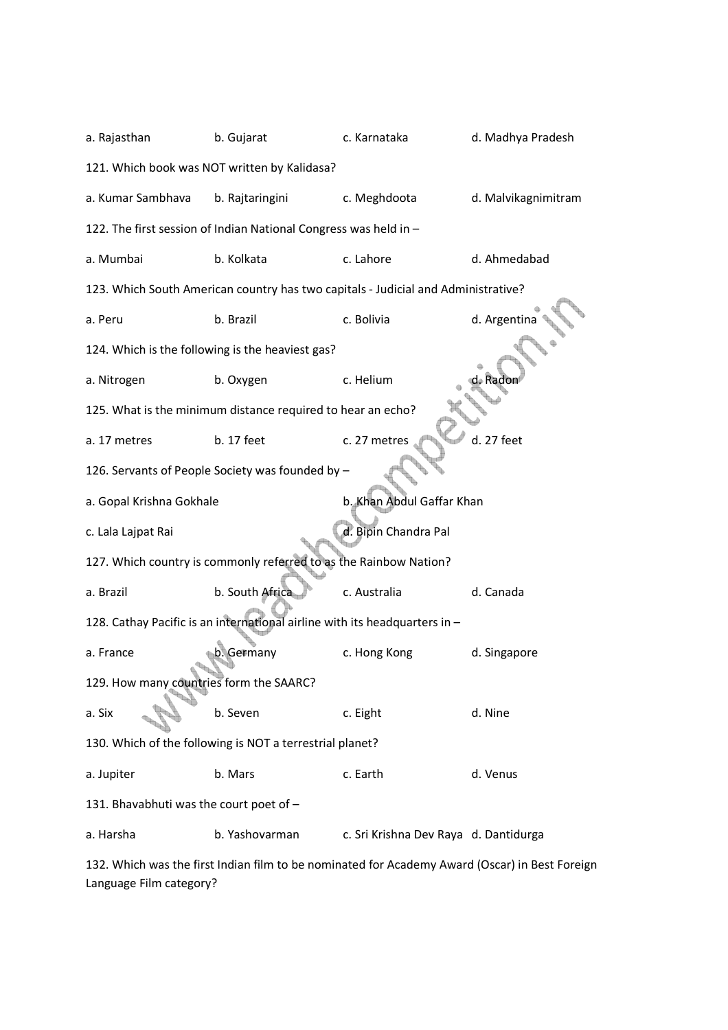| a. Rajasthan                            | b. Gujarat                                                                        | c. Karnataka                          | d. Madhya Pradesh   |  |  |  |  |
|-----------------------------------------|-----------------------------------------------------------------------------------|---------------------------------------|---------------------|--|--|--|--|
|                                         | 121. Which book was NOT written by Kalidasa?                                      |                                       |                     |  |  |  |  |
| a. Kumar Sambhava                       | b. Rajtaringini                                                                   | c. Meghdoota                          | d. Malvikagnimitram |  |  |  |  |
|                                         | 122. The first session of Indian National Congress was held in -                  |                                       |                     |  |  |  |  |
| a. Mumbai                               | b. Kolkata                                                                        | c. Lahore                             | d. Ahmedabad        |  |  |  |  |
|                                         | 123. Which South American country has two capitals - Judicial and Administrative? |                                       |                     |  |  |  |  |
| a. Peru                                 | b. Brazil                                                                         | c. Bolivia                            | d. Argentina        |  |  |  |  |
|                                         | 124. Which is the following is the heaviest gas?                                  |                                       |                     |  |  |  |  |
| a. Nitrogen                             | b. Oxygen                                                                         | c. Helium                             | . Radoi             |  |  |  |  |
|                                         | 125. What is the minimum distance required to hear an echo?                       |                                       |                     |  |  |  |  |
| a. 17 metres                            | b. 17 feet                                                                        | c. 27 metres                          | d. 27 feet          |  |  |  |  |
|                                         | 126. Servants of People Society was founded by -                                  |                                       |                     |  |  |  |  |
| a. Gopal Krishna Gokhale                |                                                                                   | b. Khan Abdul Gaffar Khan             |                     |  |  |  |  |
| c. Lala Lajpat Rai                      |                                                                                   | d. Bipin Chandra Pal                  |                     |  |  |  |  |
|                                         | 127. Which country is commonly referred to as the Rainbow Nation?                 |                                       |                     |  |  |  |  |
| a. Brazil                               | b. South Africa                                                                   | c. Australia                          | d. Canada           |  |  |  |  |
|                                         | 128. Cathay Pacific is an international airline with its headquarters in -        |                                       |                     |  |  |  |  |
| a. France                               | b. Germany                                                                        | c. Hong Kong                          | d. Singapore        |  |  |  |  |
| 129. How many countries form the SAARC? |                                                                                   |                                       |                     |  |  |  |  |
| a. Six                                  | b. Seven                                                                          | c. Eight                              | d. Nine             |  |  |  |  |
|                                         | 130. Which of the following is NOT a terrestrial planet?                          |                                       |                     |  |  |  |  |
| a. Jupiter                              | b. Mars                                                                           | c. Earth                              | d. Venus            |  |  |  |  |
| 131. Bhavabhuti was the court poet of - |                                                                                   |                                       |                     |  |  |  |  |
| a. Harsha                               | b. Yashovarman                                                                    | c. Sri Krishna Dev Raya d. Dantidurga |                     |  |  |  |  |
|                                         | roc the first Indian film to be nominate                                          |                                       |                     |  |  |  |  |

132. Which was the first Indian film to be nominated for Academy Award (Oscar) in Best Foreign Language Film category?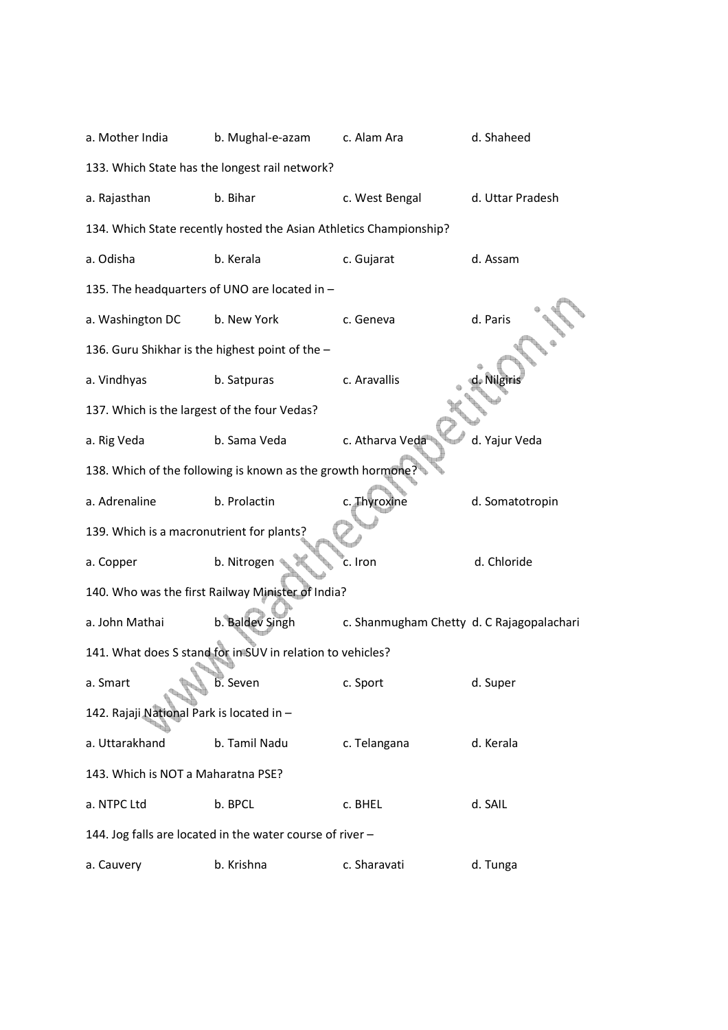| a. Mother India                                 | b. Mughal-e-azam                                                   | c. Alam Ara                               | d. Shaheed       |
|-------------------------------------------------|--------------------------------------------------------------------|-------------------------------------------|------------------|
|                                                 | 133. Which State has the longest rail network?                     |                                           |                  |
| a. Rajasthan                                    | b. Bihar                                                           | c. West Bengal                            | d. Uttar Pradesh |
|                                                 | 134. Which State recently hosted the Asian Athletics Championship? |                                           |                  |
| a. Odisha                                       | b. Kerala                                                          | c. Gujarat                                | d. Assam         |
|                                                 | 135. The headquarters of UNO are located in -                      |                                           |                  |
| a. Washington DC                                | b. New York                                                        | c. Geneva                                 | d. Paris         |
| 136. Guru Shikhar is the highest point of the - |                                                                    |                                           |                  |
| a. Vindhyas                                     | b. Satpuras                                                        | c. Aravallis                              | d. Nilgīnis      |
| 137. Which is the largest of the four Vedas?    |                                                                    |                                           |                  |
| a. Rig Veda                                     | b. Sama Veda                                                       | c. Atharva Veda                           | d. Yajur Veda    |
|                                                 | 138. Which of the following is known as the growth hormone?        |                                           |                  |
| a. Adrenaline                                   | b. Prolactin                                                       | c. Thyroxine                              | d. Somatotropin  |
| 139. Which is a macronutrient for plants?       |                                                                    |                                           |                  |
| a. Copper                                       | b. Nitrogen                                                        | c. Iron                                   | d. Chloride      |
|                                                 | 140. Who was the first Railway Minister of India?                  |                                           |                  |
| a. John Mathai                                  | b. Baldev Singh                                                    | c. Shanmugham Chetty d. C Rajagopalachari |                  |
|                                                 | 141. What does S stand for in SUV in relation to vehicles?         |                                           |                  |
| a. Smart                                        | b. Seven                                                           | c. Sport                                  | d. Super         |
| 142. Rajaji National Park is located in -       |                                                                    |                                           |                  |
| a. Uttarakhand                                  | b. Tamil Nadu                                                      | c. Telangana                              | d. Kerala        |
| 143. Which is NOT a Maharatna PSE?              |                                                                    |                                           |                  |
| a. NTPC Ltd                                     | b. BPCL                                                            | c. BHEL                                   | d. SAIL          |
|                                                 | 144. Jog falls are located in the water course of river -          |                                           |                  |
| a. Cauvery                                      | b. Krishna                                                         | c. Sharavati                              | d. Tunga         |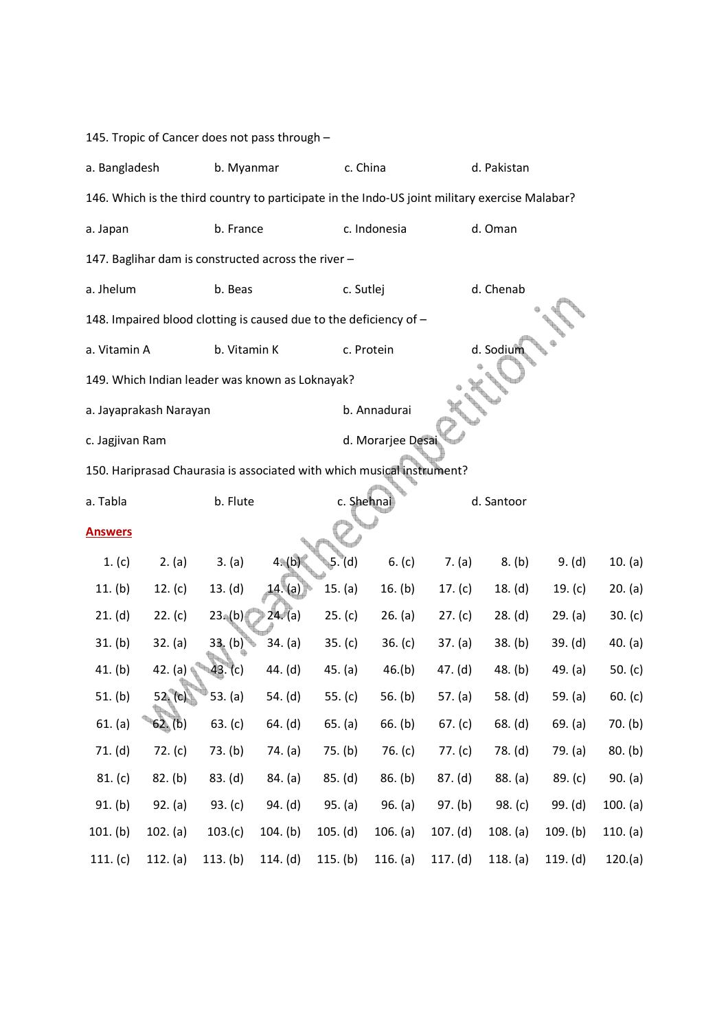145. Tropic of Cancer does not pass through –

| a. Bangladesh                                                                                  |                        | b. Myanmar   |                                                                        | c. China   |                   |            | d. Pakistan |           |           |
|------------------------------------------------------------------------------------------------|------------------------|--------------|------------------------------------------------------------------------|------------|-------------------|------------|-------------|-----------|-----------|
| 146. Which is the third country to participate in the Indo-US joint military exercise Malabar? |                        |              |                                                                        |            |                   |            |             |           |           |
| a. Japan                                                                                       |                        | b. France    |                                                                        |            | c. Indonesia      |            | d. Oman     |           |           |
|                                                                                                |                        |              | 147. Baglihar dam is constructed across the river -                    |            |                   |            |             |           |           |
| a. Jhelum                                                                                      |                        | b. Beas      |                                                                        | c. Sutlej  |                   |            | d. Chenab   |           |           |
|                                                                                                |                        |              | 148. Impaired blood clotting is caused due to the deficiency of -      |            |                   |            |             |           |           |
| a. Vitamin A                                                                                   |                        | b. Vitamin K |                                                                        |            | c. Protein        |            | d. Sodium   |           |           |
|                                                                                                |                        |              | 149. Which Indian leader was known as Loknayak?                        |            |                   |            |             |           |           |
|                                                                                                | a. Jayaprakash Narayan |              |                                                                        |            | b. Annadurai      |            |             |           |           |
| c. Jagjivan Ram                                                                                |                        |              |                                                                        |            | d. Morarjee Desai |            |             |           |           |
|                                                                                                |                        |              | 150. Hariprasad Chaurasia is associated with which musical instrument? |            |                   |            |             |           |           |
| a. Tabla                                                                                       |                        | b. Flute     |                                                                        | c. Shehnai |                   |            | d. Santoor  |           |           |
| <b>Answers</b>                                                                                 |                        |              |                                                                        |            |                   |            |             |           |           |
| 1. (c)                                                                                         | 2. (a)                 | 3. (a)       | $4*(b)$                                                                | 5. (d)     | 6. $(c)$          | 7. (a)     | 8. (b)      | 9. (d)    | 10. (a)   |
| 11. $(b)$                                                                                      | 12. $(c)$              | 13. (d)      | 14.(a)                                                                 | 15. (a)    | 16. $(b)$         | 17. $(c)$  | 18. $(d)$   | 19. $(c)$ | 20. (a)   |
| 21. (d)                                                                                        | 22. (c)                | $23^(b)$     | 24. (a)                                                                | 25. (c)    | 26. (a)           | 27. (c)    | 28. (d)     | 29. (a)   | 30. (c)   |
| 31. (b)                                                                                        | 32. (a)                | $33.$ (b)    | 34. (a)                                                                | 35. (c)    | 36. $(c)$         | 37. (a)    | 38. (b)     | 39. (d)   | 40. (a)   |
| 41. (b)                                                                                        | 42. (a)                | 43. (c)      | 44. (d)                                                                | 45. (a)    | 46.(b)            | 47. (d)    | 48. (b)     | 49. $(a)$ | 50. $(c)$ |
| 51. (b)                                                                                        | 52. (c)                | 53. (a)      | 54. (d)                                                                | 55. (c)    | 56. $(b)$         | 57. (a)    | 58. (d)     | 59. (a)   | 60. (c)   |
| 61. (a)                                                                                        | 62. (b)                | 63. (c)      | 64. (d)                                                                | 65. (a)    | 66. (b)           | 67. (c)    | 68. (d)     | 69. (a)   | 70. (b)   |
| 71. (d)                                                                                        | 72. $(c)$              | 73. (b)      | 74. (a)                                                                | 75. (b)    | 76. $(c)$         | 77. $(c)$  | 78. (d)     | 79. (a)   | 80. (b)   |
| 81. (c)                                                                                        | 82. (b)                | 83. (d)      | 84. (a)                                                                | 85. (d)    | 86. (b)           | 87. (d)    | 88. (a)     | 89. (c)   | 90. (a)   |
| 91. (b)                                                                                        | 92. (a)                | 93. $(c)$    | 94. (d)                                                                | 95. (a)    | 96. (a)           | 97. (b)    | 98. $(c)$   | 99. (d)   | 100. (a)  |
| 101. (b)                                                                                       | 102. (a)               | 103.(c)      | 104. (b)                                                               | 105. (d)   | 106. (a)          | 107. (d)   | 108. (a)    | 109. (b)  | 110. (a)  |
| 111. $(c)$                                                                                     | 112. (a)               | 113. (b)     | 114. $(d)$                                                             | 115. $(b)$ | 116. (a)          | 117. $(d)$ | 118. (a)    | 119. (d)  | 120.(a)   |